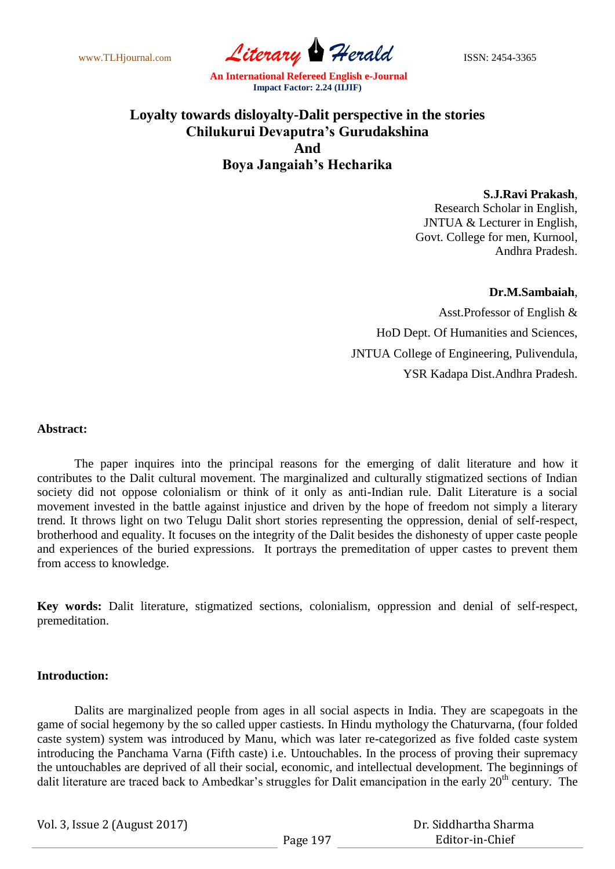www.TLHjournal.com *Literary Herald* ISSN: 2454-3365

# **Loyalty towards disloyalty-Dalit perspective in the stories Chilukurui Devaputra's Gurudakshina And Boya Jangaiah's Hecharika**

**S.J.Ravi Prakash**,

Research Scholar in English, JNTUA & Lecturer in English, Govt. College for men, Kurnool, Andhra Pradesh.

## **Dr.M.Sambaiah**,

Asst.Professor of English & HoD Dept. Of Humanities and Sciences, JNTUA College of Engineering, Pulivendula, YSR Kadapa Dist.Andhra Pradesh.

## **Abstract:**

The paper inquires into the principal reasons for the emerging of dalit literature and how it contributes to the Dalit cultural movement. The marginalized and culturally stigmatized sections of Indian society did not oppose colonialism or think of it only as anti-Indian rule. Dalit Literature is a social movement invested in the battle against injustice and driven by the hope of freedom not simply a literary trend. It throws light on two Telugu Dalit short stories representing the oppression, denial of self-respect, brotherhood and equality. It focuses on the integrity of the Dalit besides the dishonesty of upper caste people and experiences of the buried expressions. It portrays the premeditation of upper castes to prevent them from access to knowledge.

**Key words:** Dalit literature, stigmatized sections, colonialism, oppression and denial of self-respect, premeditation.

## **Introduction:**

Dalits are marginalized people from ages in all social aspects in India. They are scapegoats in the game of social hegemony by the so called upper castiests. In Hindu mythology the Chaturvarna, (four folded caste system) system was introduced by Manu, which was later re-categorized as five folded caste system introducing the Panchama Varna (Fifth caste) i.e. Untouchables. In the process of proving their supremacy the untouchables are deprived of all their social, economic, and intellectual development. The beginnings of dalit literature are traced back to Ambedkar's struggles for Dalit emancipation in the early 20<sup>th</sup> century. The

Vol. 3, Issue 2 (August 2017)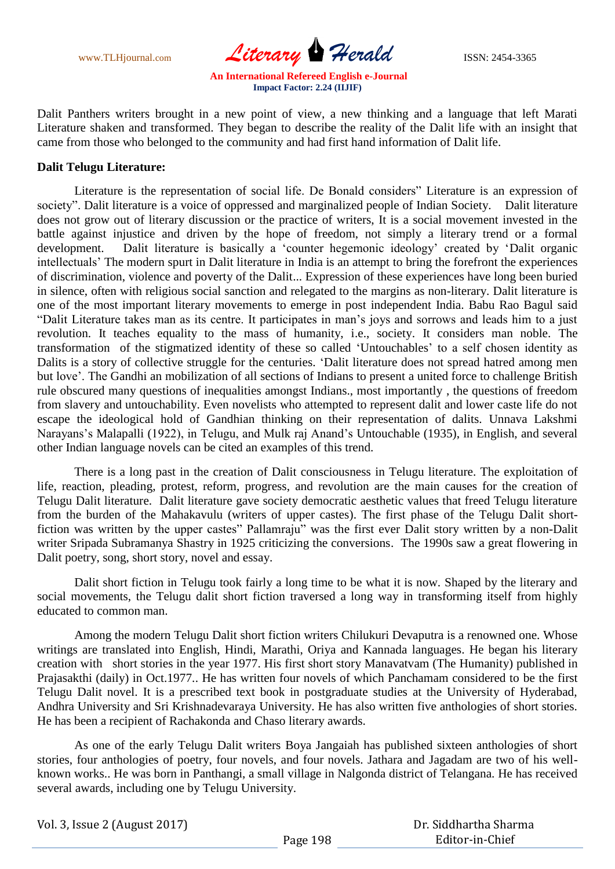www.TLHjournal.com *Literary Herald* ISSN: 2454-3365

Dalit Panthers writers brought in a new point of view, a new thinking and a language that left Marati Literature shaken and transformed. They began to describe the reality of the Dalit life with an insight that came from those who belonged to the community and had first hand information of Dalit life.

## **Dalit Telugu Literature:**

Literature is the representation of social life. De Bonald considers" Literature is an expression of society". Dalit literature is a voice of oppressed and marginalized people of Indian Society. Dalit literature does not grow out of literary discussion or the practice of writers, It is a social movement invested in the battle against injustice and driven by the hope of freedom, not simply a literary trend or a formal development. Dalit literature is basically a 'counter hegemonic ideology' created by 'Dalit organic intellectuals" The modern spurt in Dalit literature in India is an attempt to bring the forefront the experiences of discrimination, violence and poverty of the Dalit... Expression of these experiences have long been buried in silence, often with religious social sanction and relegated to the margins as non-literary. Dalit literature is one of the most important literary movements to emerge in post independent India. Babu Rao Bagul said "Dalit Literature takes man as its centre. It participates in man"s joys and sorrows and leads him to a just revolution. It teaches equality to the mass of humanity, i.e., society. It considers man noble. The transformation of the stigmatized identity of these so called "Untouchables" to a self chosen identity as Dalits is a story of collective struggle for the centuries. "Dalit literature does not spread hatred among men but love". The Gandhi an mobilization of all sections of Indians to present a united force to challenge British rule obscured many questions of inequalities amongst Indians., most importantly , the questions of freedom from slavery and untouchability. Even novelists who attempted to represent dalit and lower caste life do not escape the ideological hold of Gandhian thinking on their representation of dalits. Unnava Lakshmi Narayans"s Malapalli (1922), in Telugu, and Mulk raj Anand"s Untouchable (1935), in English, and several other Indian language novels can be cited an examples of this trend.

There is a long past in the creation of Dalit consciousness in Telugu literature. The exploitation of life, reaction, pleading, protest, reform, progress, and revolution are the main causes for the creation of Telugu Dalit literature. Dalit literature gave society democratic aesthetic values that freed Telugu literature from the burden of the Mahakavulu (writers of upper castes). The first phase of the Telugu Dalit shortfiction was written by the upper castes" Pallamraju" was the first ever Dalit story written by a non-Dalit writer Sripada Subramanya Shastry in 1925 criticizing the conversions. The 1990s saw a great flowering in Dalit poetry, song, short story, novel and essay.

Dalit short fiction in Telugu took fairly a long time to be what it is now. Shaped by the literary and social movements, the Telugu dalit short fiction traversed a long way in transforming itself from highly educated to common man.

Among the modern Telugu Dalit short fiction writers Chilukuri Devaputra is a renowned one. Whose writings are translated into English, Hindi, Marathi, Oriya and Kannada languages. He began his literary creation with short stories in the year 1977. His first short story Manavatvam (The Humanity) published in Prajasakthi (daily) in Oct.1977.. He has written four novels of which Panchamam considered to be the first Telugu Dalit novel. It is a prescribed text book in postgraduate studies at the University of Hyderabad, Andhra University and Sri Krishnadevaraya University. He has also written five anthologies of short stories. He has been a recipient of Rachakonda and Chaso literary awards.

As one of the early Telugu Dalit writers Boya Jangaiah has published sixteen anthologies of short stories, four anthologies of poetry, four novels, and four novels. Jathara and Jagadam are two of his wellknown works.. He was born in Panthangi, a small village in Nalgonda district of Telangana. He has received several awards, including one by Telugu University.

Vol. 3, Issue 2 (August 2017)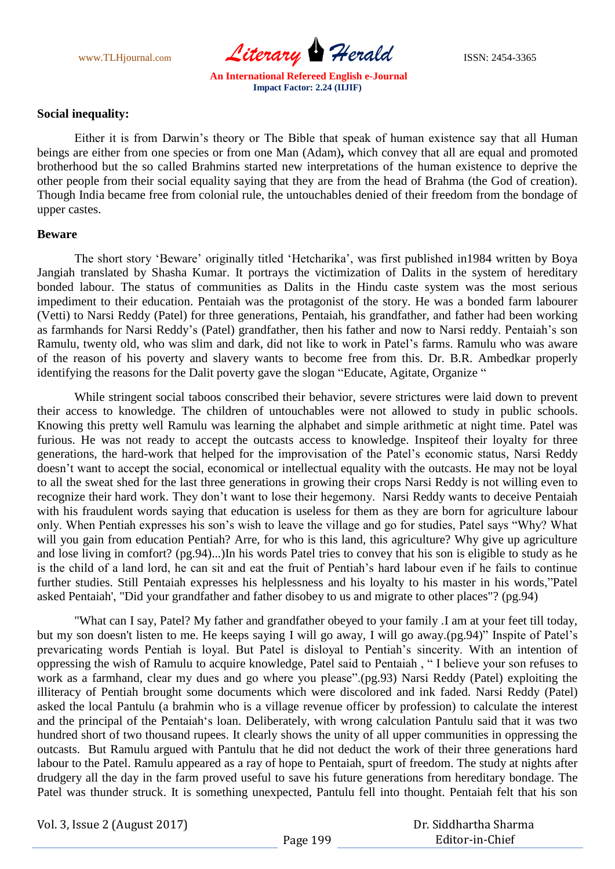

#### **Social inequality:**

Either it is from Darwin's theory or The Bible that speak of human existence say that all Human beings are either from one species or from one Man (Adam)**,** which convey that all are equal and promoted brotherhood but the so called Brahmins started new interpretations of the human existence to deprive the other people from their social equality saying that they are from the head of Brahma (the God of creation). Though India became free from colonial rule, the untouchables denied of their freedom from the bondage of upper castes.

#### **Beware**

The short story "Beware" originally titled "Hetcharika", was first published in1984 written by Boya Jangiah translated by Shasha Kumar. It portrays the victimization of Dalits in the system of hereditary bonded labour. The status of communities as Dalits in the Hindu caste system was the most serious impediment to their education. Pentaiah was the protagonist of the story. He was a bonded farm labourer (Vetti) to Narsi Reddy (Patel) for three generations, Pentaiah, his grandfather, and father had been working as farmhands for Narsi Reddy"s (Patel) grandfather, then his father and now to Narsi reddy. Pentaiah"s son Ramulu, twenty old, who was slim and dark, did not like to work in Patel"s farms. Ramulu who was aware of the reason of his poverty and slavery wants to become free from this. Dr. B.R. Ambedkar properly identifying the reasons for the Dalit poverty gave the slogan "Educate, Agitate, Organize "

While stringent social taboos conscribed their behavior, severe strictures were laid down to prevent their access to knowledge. The children of untouchables were not allowed to study in public schools. Knowing this pretty well Ramulu was learning the alphabet and simple arithmetic at night time. Patel was furious. He was not ready to accept the outcasts access to knowledge. Inspiteof their loyalty for three generations, the hard-work that helped for the improvisation of the Patel"s economic status, Narsi Reddy doesn't want to accept the social, economical or intellectual equality with the outcasts. He may not be loyal to all the sweat shed for the last three generations in growing their crops Narsi Reddy is not willing even to recognize their hard work. They don"t want to lose their hegemony. Narsi Reddy wants to deceive Pentaiah with his fraudulent words saying that education is useless for them as they are born for agriculture labour only. When Pentiah expresses his son"s wish to leave the village and go for studies, Patel says "Why? What will you gain from education Pentiah? Arre, for who is this land, this agriculture? Why give up agriculture and lose living in comfort? (pg.94)...)In his words Patel tries to convey that his son is eligible to study as he is the child of a land lord, he can sit and eat the fruit of Pentiah"s hard labour even if he fails to continue further studies. Still Pentaiah expresses his helplessness and his loyalty to his master in his words,"Patel asked Pentaiah', "Did your grandfather and father disobey to us and migrate to other places"? (pg.94)

"What can I say, Patel? My father and grandfather obeyed to your family .I am at your feet till today, but my son doesn't listen to me. He keeps saying I will go away, I will go away.(pg.94)" Inspite of Patel"s prevaricating words Pentiah is loyal. But Patel is disloyal to Pentiah"s sincerity. With an intention of oppressing the wish of Ramulu to acquire knowledge, Patel said to Pentaiah , " I believe your son refuses to work as a farmhand, clear my dues and go where you please".(pg.93) Narsi Reddy (Patel) exploiting the illiteracy of Pentiah brought some documents which were discolored and ink faded. Narsi Reddy (Patel) asked the local Pantulu (a brahmin who is a village revenue officer by profession) to calculate the interest and the principal of the Pentaiah"s loan. Deliberately, with wrong calculation Pantulu said that it was two hundred short of two thousand rupees. It clearly shows the unity of all upper communities in oppressing the outcasts. But Ramulu argued with Pantulu that he did not deduct the work of their three generations hard labour to the Patel. Ramulu appeared as a ray of hope to Pentaiah, spurt of freedom. The study at nights after drudgery all the day in the farm proved useful to save his future generations from hereditary bondage. The Patel was thunder struck. It is something unexpected, Pantulu fell into thought. Pentaiah felt that his son

Vol. 3, Issue 2 (August 2017)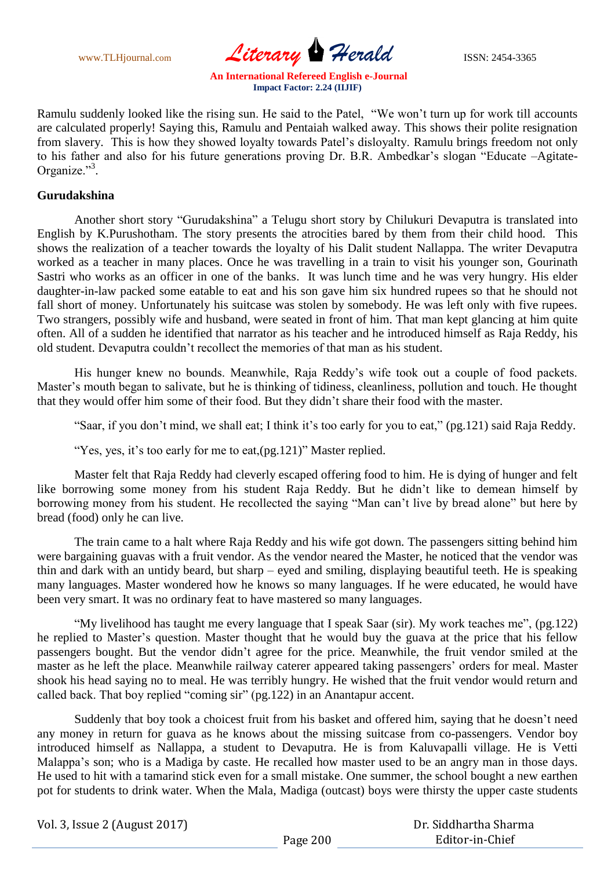www.TLHjournal.com *Literary Herald* ISSN: 2454-3365

Ramulu suddenly looked like the rising sun. He said to the Patel, "We won"t turn up for work till accounts are calculated properly! Saying this, Ramulu and Pentaiah walked away. This shows their polite resignation from slavery. This is how they showed loyalty towards Patel"s disloyalty. Ramulu brings freedom not only to his father and also for his future generations proving Dr. B.R. Ambedkar"s slogan "Educate –Agitate-Organize."<sup>3</sup>.

#### **Gurudakshina**

Another short story "Gurudakshina" a Telugu short story by Chilukuri Devaputra is translated into English by K.Purushotham. The story presents the atrocities bared by them from their child hood. This shows the realization of a teacher towards the loyalty of his Dalit student Nallappa. The writer Devaputra worked as a teacher in many places. Once he was travelling in a train to visit his younger son, Gourinath Sastri who works as an officer in one of the banks. It was lunch time and he was very hungry. His elder daughter-in-law packed some eatable to eat and his son gave him six hundred rupees so that he should not fall short of money. Unfortunately his suitcase was stolen by somebody. He was left only with five rupees. Two strangers, possibly wife and husband, were seated in front of him. That man kept glancing at him quite often. All of a sudden he identified that narrator as his teacher and he introduced himself as Raja Reddy, his old student. Devaputra couldn"t recollect the memories of that man as his student.

His hunger knew no bounds. Meanwhile, Raja Reddy"s wife took out a couple of food packets. Master's mouth began to salivate, but he is thinking of tidiness, cleanliness, pollution and touch. He thought that they would offer him some of their food. But they didn"t share their food with the master.

"Saar, if you don't mind, we shall eat; I think it's too early for you to eat," (pg.121) said Raja Reddy.

"Yes, yes, it's too early for me to eat,(pg.121)" Master replied.

Master felt that Raja Reddy had cleverly escaped offering food to him. He is dying of hunger and felt like borrowing some money from his student Raja Reddy. But he didn"t like to demean himself by borrowing money from his student. He recollected the saying "Man can"t live by bread alone" but here by bread (food) only he can live.

The train came to a halt where Raja Reddy and his wife got down. The passengers sitting behind him were bargaining guavas with a fruit vendor. As the vendor neared the Master, he noticed that the vendor was thin and dark with an untidy beard, but sharp – eyed and smiling, displaying beautiful teeth. He is speaking many languages. Master wondered how he knows so many languages. If he were educated, he would have been very smart. It was no ordinary feat to have mastered so many languages.

"My livelihood has taught me every language that I speak Saar (sir). My work teaches me", (pg.122) he replied to Master's question. Master thought that he would buy the guava at the price that his fellow passengers bought. But the vendor didn"t agree for the price. Meanwhile, the fruit vendor smiled at the master as he left the place. Meanwhile railway caterer appeared taking passengers' orders for meal. Master shook his head saying no to meal. He was terribly hungry. He wished that the fruit vendor would return and called back. That boy replied "coming sir" (pg.122) in an Anantapur accent.

Suddenly that boy took a choicest fruit from his basket and offered him, saying that he doesn"t need any money in return for guava as he knows about the missing suitcase from co-passengers. Vendor boy introduced himself as Nallappa, a student to Devaputra. He is from Kaluvapalli village. He is Vetti Malappa's son; who is a Madiga by caste. He recalled how master used to be an angry man in those days. He used to hit with a tamarind stick even for a small mistake. One summer, the school bought a new earthen pot for students to drink water. When the Mala, Madiga (outcast) boys were thirsty the upper caste students

Vol. 3, Issue 2 (August 2017)